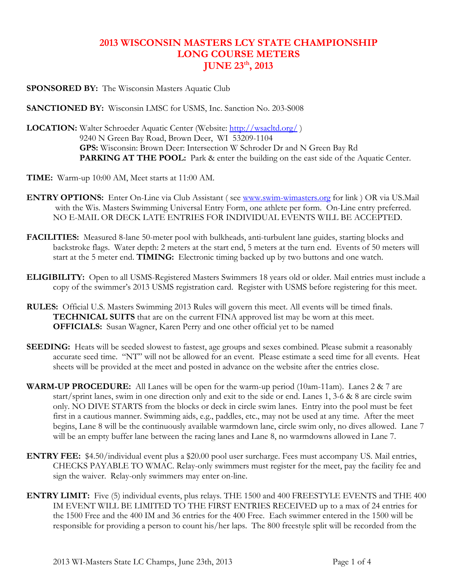## 2013 WISCONSIN MASTERS LCY STATE CHAMPIONSHIP LONG COURSE METERS JUNE 23<sup>th</sup>, 2013

SPONSORED BY: The Wisconsin Masters Aquatic Club

SANCTIONED BY: Wisconsin LMSC for USMS, Inc. Sanction No. 203-S008

LOCATION: Walter Schroeder Aquatic Center (Website: http://wsacltd.org/) 9240 N Green Bay Road, Brown Deer, WI 53209-1104 GPS: Wisconsin: Brown Deer: Intersection W Schroder Dr and N Green Bay Rd PARKING AT THE POOL: Park & enter the building on the east side of the Aquatic Center.

TIME: Warm-up 10:00 AM, Meet starts at 11:00 AM.

- ENTRY OPTIONS: Enter On-Line via Club Assistant ( see www.swim-wimasters.org for link ) OR via US.Mail with the Wis. Masters Swimming Universal Entry Form, one athlete per form. On-Line entry preferred. NO E-MAIL OR DECK LATE ENTRIES FOR INDIVIDUAL EVENTS WILL BE ACCEPTED.
- FACILITIES: Measured 8-lane 50-meter pool with bulkheads, anti-turbulent lane guides, starting blocks and backstroke flags. Water depth: 2 meters at the start end, 5 meters at the turn end. Events of 50 meters will start at the 5 meter end. TIMING: Electronic timing backed up by two buttons and one watch.
- ELIGIBILITY: Open to all USMS-Registered Masters Swimmers 18 years old or older. Mail entries must include a copy of the swimmer's 2013 USMS registration card. Register with USMS before registering for this meet.
- RULES: Official U.S. Masters Swimming 2013 Rules will govern this meet. All events will be timed finals. TECHNICAL SUITS that are on the current FINA approved list may be worn at this meet. OFFICIALS: Susan Wagner, Karen Perry and one other official yet to be named
- SEEDING: Heats will be seeded slowest to fastest, age groups and sexes combined. Please submit a reasonably accurate seed time. "NT" will not be allowed for an event. Please estimate a seed time for all events. Heat sheets will be provided at the meet and posted in advance on the website after the entries close.
- **WARM-UP PROCEDURE:** All Lanes will be open for the warm-up period (10am-11am). Lanes  $2 \& 7$  are start/sprint lanes, swim in one direction only and exit to the side or end. Lanes 1, 3-6 & 8 are circle swim only. NO DIVE STARTS from the blocks or deck in circle swim lanes. Entry into the pool must be feet first in a cautious manner. Swimming aids, e.g., paddles, etc., may not be used at any time. After the meet begins, Lane 8 will be the continuously available warmdown lane, circle swim only, no dives allowed. Lane 7 will be an empty buffer lane between the racing lanes and Lane 8, no warmdowns allowed in Lane 7.
- ENTRY FEE: \$4.50/individual event plus a \$20.00 pool user surcharge. Fees must accompany US. Mail entries, CHECKS PAYABLE TO WMAC. Relay-only swimmers must register for the meet, pay the facility fee and sign the waiver. Relay-only swimmers may enter on-line.
- ENTRY LIMIT: Five (5) individual events, plus relays. THE 1500 and 400 FREESTYLE EVENTS and THE 400 IM EVENT WILL BE LIMITED TO THE FIRST ENTRIES RECEIVED up to a max of 24 entries for the 1500 Free and the 400 IM and 36 entries for the 400 Free. Each swimmer entered in the 1500 will be responsible for providing a person to count his/her laps. The 800 freestyle split will be recorded from the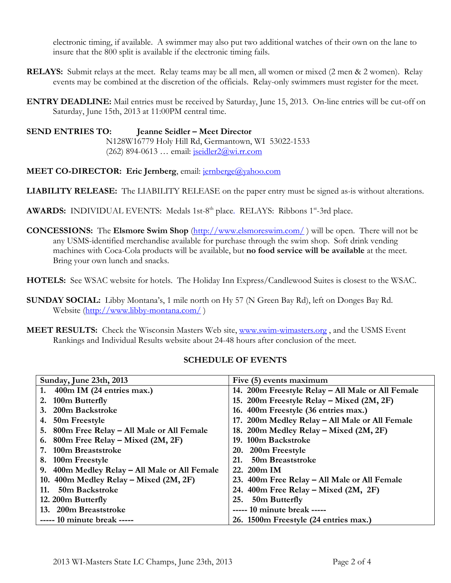electronic timing, if available. A swimmer may also put two additional watches of their own on the lane to insure that the 800 split is available if the electronic timing fails.

- **RELAYS:** Submit relays at the meet. Relay teams may be all men, all women or mixed (2 men & 2 women). Relay events may be combined at the discretion of the officials. Relay-only swimmers must register for the meet.
- ENTRY DEADLINE: Mail entries must be received by Saturday, June 15, 2013. On-line entries will be cut-off on Saturday, June 15th, 2013 at 11:00PM central time.

SEND ENTRIES TO: Jeanne Seidler – Meet Director N128W16779 Holy Hill Rd, Germantown, WI 53022-1533 (262) 894-0613 ... email: jseidler $2\omega$ wi.rr.com

### MEET CO-DIRECTOR: Eric Jernberg, email: jernberge@yahoo.com

LIABILITY RELEASE: The LIABILITY RELEASE on the paper entry must be signed as-is without alterations.

- **AWARDS:** INDIVIDUAL EVENTS: Medals 1st-8<sup>th</sup> place. RELAYS: Ribbons  $1^{st}$ -3rd place.
- CONCESSIONS: The Elsmore Swim Shop (http://www.elsmoreswim.com/ ) will be open. There will not be any USMS-identified merchandise available for purchase through the swim shop. Soft drink vending machines with Coca-Cola products will be available, but no food service will be available at the meet. Bring your own lunch and snacks.
- HOTELS: See WSAC website for hotels. The Holiday Inn Express/Candlewood Suites is closest to the WSAC.
- SUNDAY SOCIAL: Libby Montana's, 1 mile north on Hy 57 (N Green Bay Rd), left on Donges Bay Rd. Website (http://www.libby-montana.com/ )
- **MEET RESULTS:** Check the Wisconsin Masters Web site, www.swim-wimasters.org, and the USMS Event Rankings and Individual Results website about 24-48 hours after conclusion of the meet.

#### SCHEDULE OF EVENTS

| Sunday, June 23th, 2013                       | Five (5) events maximum                           |  |
|-----------------------------------------------|---------------------------------------------------|--|
| 1. $400m$ IM (24 entries max.)                | 14. 200m Freestyle Relay - All Male or All Female |  |
| 2. 100m Butterfly                             | 15. 200m Freestyle Relay - Mixed (2M, 2F)         |  |
| 3. 200m Backstroke                            | 16. 400m Freestyle (36 entries max.)              |  |
| 4. 50m Freestyle                              | 17. 200m Medley Relay - All Male or All Female    |  |
| 5. 800m Free Relay – All Male or All Female   | 18. 200m Medley Relay – Mixed (2M, 2F)            |  |
| 6. 800m Free Relay – Mixed $(2M, 2F)$         | 19. 100m Backstroke                               |  |
| 7. 100m Breaststroke                          | 20. 200m Freestyle                                |  |
| 8. 100m Freestyle                             | 50m Breaststroke<br>21.                           |  |
| 9. 400m Medley Relay – All Male or All Female | 22. 200m IM                                       |  |
| 10. 400m Medley Relay – Mixed (2M, 2F)        | 23. 400m Free Relay – All Male or All Female      |  |
| 50m Backstroke<br>11.                         | 24. $400m$ Free Relay – Mixed (2M, 2F)            |  |
| 12. 200m Butterfly                            | 50m Butterfly<br>25.                              |  |
| 13. 200m Breaststroke                         | ----- 10 minute break -----                       |  |
| ----- 10 minute break -----                   | 26. 1500m Freestyle (24 entries max.)             |  |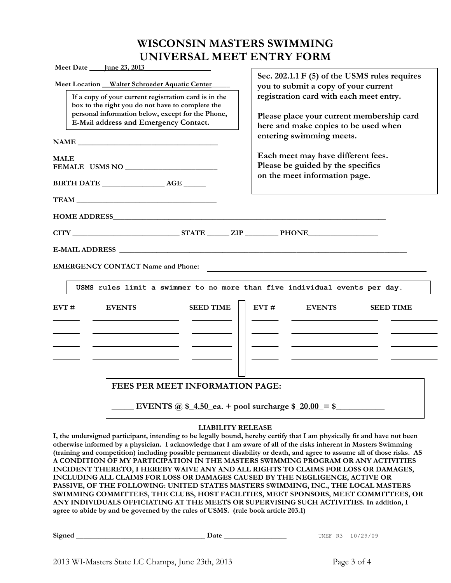# WISCONSIN MASTERS SWIMMING UNIVERSAL MEET ENTRY FORM

| Meet Date <u>June 23, 2013</u>                                                                                                                                                                                                                           |                                                                                                                                                                                                                                                   |  |
|----------------------------------------------------------------------------------------------------------------------------------------------------------------------------------------------------------------------------------------------------------|---------------------------------------------------------------------------------------------------------------------------------------------------------------------------------------------------------------------------------------------------|--|
| Meet Location Walter Schroeder Aquatic Center<br>If a copy of your current registration card is in the<br>box to the right you do not have to complete the<br>personal information below, except for the Phone,<br>E-Mail address and Emergency Contact. | Sec. 202.1.1 F (5) of the USMS rules requires<br>you to submit a copy of your current<br>registration card with each meet entry.<br>Please place your current membership card<br>here and make copies to be used when<br>entering swimming meets. |  |
| <b>MALE</b>                                                                                                                                                                                                                                              | Each meet may have different fees.                                                                                                                                                                                                                |  |
| FEMALE USMS NO _____________________                                                                                                                                                                                                                     | Please be guided by the specifics                                                                                                                                                                                                                 |  |
|                                                                                                                                                                                                                                                          | on the meet information page.                                                                                                                                                                                                                     |  |
| <b>EMERGENCY CONTACT Name and Phone:</b><br>USMS rules limit a swimmer to no more than five individual events per day.                                                                                                                                   |                                                                                                                                                                                                                                                   |  |
| <b>SEED TIME</b><br>EVT #<br><b>EVENTS</b>                                                                                                                                                                                                               | $EVT \neq$<br><b>SEED TIME</b><br><b>EVENTS</b>                                                                                                                                                                                                   |  |
| FEES PER MEET INFORMATION PAGE:                                                                                                                                                                                                                          |                                                                                                                                                                                                                                                   |  |
| ------ <i>-</i> -------------                                                                                                                                                                                                                            |                                                                                                                                                                                                                                                   |  |

#### LIABILITY RELEASE

I, the undersigned participant, intending to be legally bound, hereby certify that I am physically fit and have not been otherwise informed by a physician. I acknowledge that I am aware of all of the risks inherent in Masters Swimming (training and competition) including possible permanent disability or death, and agree to assume all of those risks. AS A CONDITION OF MY PARTICIPATION IN THE MASTERS SWIMMING PROGRAM OR ANY ACTIVITIES INCIDENT THERETO, I HEREBY WAIVE ANY AND ALL RIGHTS TO CLAIMS FOR LOSS OR DAMAGES, INCLUDING ALL CLAIMS FOR LOSS OR DAMAGES CAUSED BY THE NEGLIGENCE, ACTIVE OR PASSIVE, OF THE FOLLOWING: UNITED STATES MASTERS SWIMMING, INC., THE LOCAL MASTERS SWIMMING COMMITTEES, THE CLUBS, HOST FACILITIES, MEET SPONSORS, MEET COMMITTEES, OR ANY INDIVIDUALS OFFICIATING AT THE MEETS OR SUPERVISING SUCH ACTIVITIES. In addition, I agree to abide by and be governed by the rules of USMS. (rule book article 203.1)

| Signed | --- | UMEF<br>R3<br>, u /<br>the contract of the contract of the contract of the contract of the contract of<br>__ |
|--------|-----|--------------------------------------------------------------------------------------------------------------|
|--------|-----|--------------------------------------------------------------------------------------------------------------|